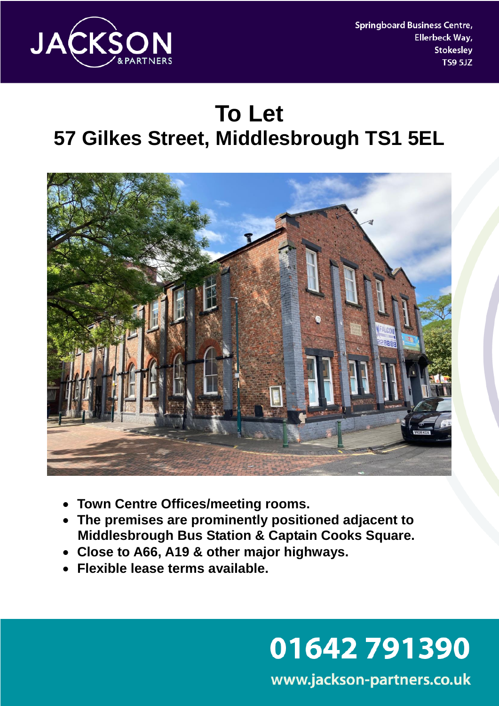

**Springboard Business Centre,** Ellerbeck Way, **Stokesley TS9 5JZ** 

# **To Let 57 Gilkes Street, Middlesbrough TS1 5EL**



- **Town Centre Offices/meeting rooms.**
- **The premises are prominently positioned adjacent to Middlesbrough Bus Station & Captain Cooks Square.**
- **Close to A66, A19 & other major highways.**
- **Flexible lease terms available.**

# 01642791390

www.jackson-partners.co.uk